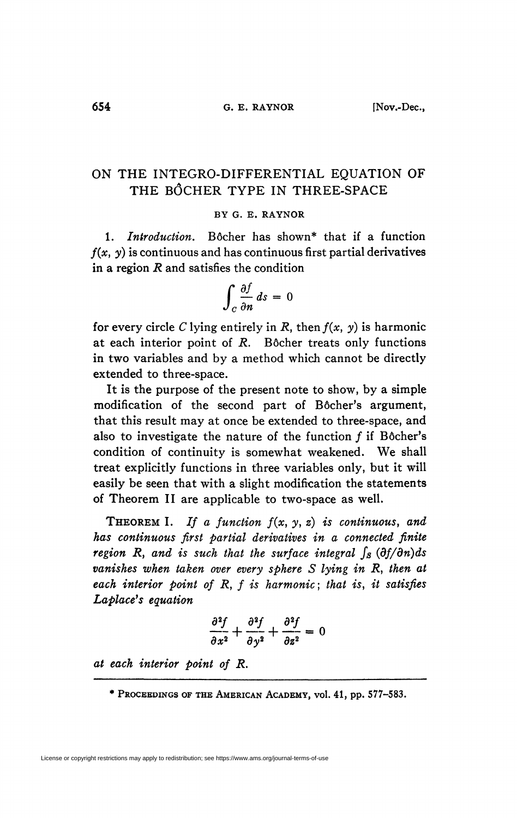## **ON THE INTEGRO-DIFFERENTIAL EQUATION OF THE BÔCHER TYPE IN THREE-SPACE**

## **BY G. E. RAYNOR**

**1.** *Introduction.* **Bôcher has shown\* that if a function**   $f(x, y)$  is continuous and has continuous first partial derivatives **in a region** *R* **and satisfies the condition** 

$$
\int_C \frac{\partial f}{\partial n} ds = 0
$$

for every circle *C* lying entirely in *R*, then  $f(x, y)$  is harmonic **at each interior point of** *R.* **Bôcher treats only functions in two variables and by a method which cannot be directly extended to three-space.** 

**It is the purpose of the present note to show, by a simple modification of the second part of Bôcher's argument, that this result may at once be extended to three-space, and also to investigate the nature of the function ƒ if Bôcher's condition of continuity is somewhat weakened. We shall treat explicitly functions in three variables only, but it will easily be seen that with a slight modification the statements of Theorem II are applicable to two-space as well.** 

**THEOREM** I. If a function  $f(x, y, z)$  is continuous, and *has continuous first partial derivatives in a connected finite region* R, and is such that the surface integral  $\int_{\mathcal{S}} (\partial f/\partial n) ds$ vanishes when taken over every sphere S lying in R, then at *each interior point of R, f is harmonic; that is, it satisfies Laplace<sup>f</sup> s equation* 

$$
\frac{\partial^2 f}{\partial x^2} + \frac{\partial^2 f}{\partial y^2} + \frac{\partial^2 f}{\partial z^2} = 0
$$

*at each interior point of R.* 

*<sup>\*</sup>* **PROCEEDINGS OF THE AMERICAN ACADEMY, vol. 41, pp. 577-583.**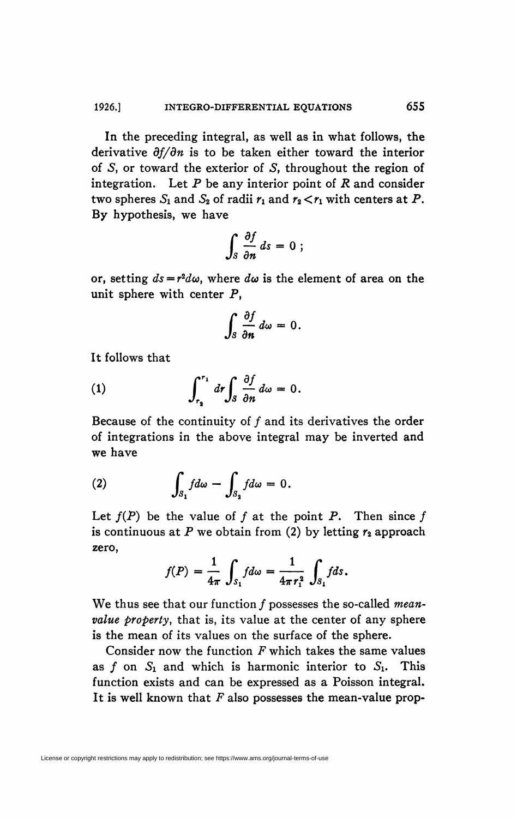In the preceding integral, as well as in what follows, the derivative *df/dn* is to be taken either toward the interior of S, or toward the exterior of S, throughout the region of integration. Let *P* be any interior point of *R* and consider two spheres  $S_1$  and  $S_2$  of radii  $r_1$  and  $r_2 < r_1$  with centers at P. By hypothesis, we have

$$
\int_S \frac{\partial f}{\partial n} ds = 0 ;
$$

or, setting  $ds = r^2 d\omega$ , where  $d\omega$  is the element of area on the unit sphere with center  $P$ ,

$$
\int_S \frac{\partial f}{\partial n} d\omega = 0.
$$

It follows that

(1) 
$$
\int_{r_2}^{r_1} dr \int_S \frac{\partial f}{\partial n} d\omega = 0.
$$

Because of the continuity of f and its derivatives the order of integrations in the above integral may be inverted and we have

(2) 
$$
\int_{S_1} f d\omega - \int_{S_2} f d\omega = 0.
$$

Let  $f(P)$  be the value of f at the point P. Then since f is continuous at P we obtain from (2) by letting  $r_2$  approach zero,

$$
f(P) = \frac{1}{4\pi} \int_{S_1} f d\omega = \frac{1}{4\pi r_1^2} \int_{S_1} f ds.
$$

We thus see that our function ƒ possesses the so-called *meanvalue property*, that is, its value at the center of any sphere is the mean of its values on the surface of the sphere.

Consider now the function *F* which takes the same values as  $f$  on  $S_1$  and which is harmonic interior to  $S_1$ . This function exists and can be expressed as a Poisson integral. It is well known that *F* also possesses the mean-value prop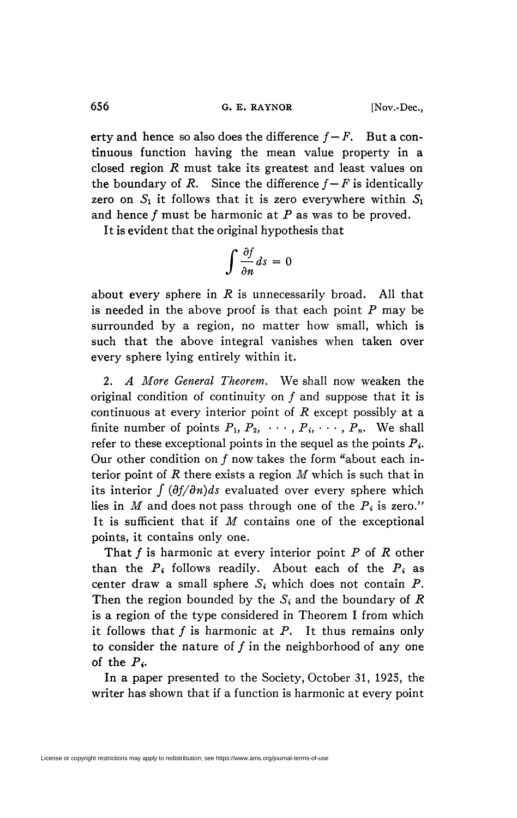erty and hence so also does the difference  $f - F$ . But a continuous function having the mean value property in a closed region *R* must take its greatest and least values on the boundary of R. Since the difference  $f - F$  is identically zero on  $S_1$  it follows that it is zero everywhere within  $S_1$ and hence ƒ must be harmonic at *P* as was to be proved.

It is evident that the original hypothesis that

$$
\int \frac{\partial f}{\partial n} ds = 0
$$

about every sphere in *R* is unnecessarily broad. All that is needed in the above proof is that each point *P* may be surrounded by a region, no matter how small, which is such that the above integral vanishes when taken over every sphere lying entirely within it.

2. *A More General Theorem.* We shall now weaken the original condition of continuity on ƒ and suppose that it is continuous at every interior point of *R* except possibly at a finite number of points  $P_1, P_2, \cdots, P_i, \cdots, P_n$ . We shall refer to these exceptional points in the sequel as the points  $P_i$ . Our other condition on  $f$  now takes the form "about each interior point of *R* there exists a region *M* which is such that in its interior  $\int (\partial f/\partial n) ds$  evaluated over every sphere which lies in *M* and does not pass through one of the  $P_i$  is zero." It is sufficient that if *M* contains one of the exceptional points, it contains only one.

That  $f$  is harmonic at every interior point  $P$  of  $R$  other than the  $P_i$  follows readily. About each of the  $P_i$  as center draw a small sphere  $S_i$  which does not contain  $P$ . Then the region bounded by the *Si* and the boundary of *R*  is a region of the type considered in Theorem I from which it follows that  $f$  is harmonic at  $P$ . It thus remains only to consider the nature of  $f$  in the neighborhood of any one of the *Pi.* 

In a paper presented to the Society, October 31, 1925, the writer has shown that if a function is harmonic at every point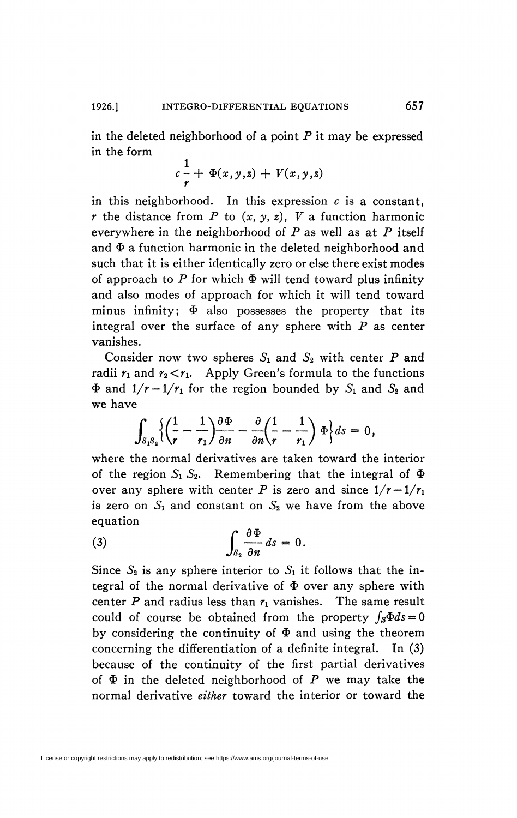in the deleted neighborhood of a point *P* it may be expressed in the form

$$
c\frac{1}{r} + \Phi(x,y,z) + V(x,y,z)
$$

in this neighborhood. In this expression  $c$  is a constant, *r* the distance from *P* to  $(x, y, z)$ , *V* a function harmonic everywhere in the neighborhood of *P* as well as at *P* itself and  $\Phi$  a function harmonic in the deleted neighborhood and such that it is either identically zero or else there exist modes of approach to  $P$  for which  $\Phi$  will tend toward plus infinity and also modes of approach for which it will tend toward minus infinity;  $\Phi$  also possesses the property that its integral over the surface of any sphere with *P* as center vanishes.

Consider now two spheres  $S_1$  and  $S_2$  with center P and radii  $r_1$  and  $r_2 < r_1$ . Apply Green's formula to the functions  $\Phi$  and  $1/r - 1/r_1$  for the region bounded by  $S_1$  and  $S_2$  and we have

$$
\int_{S_1S_2}\left\{\left(\frac{1}{r}-\frac{1}{r_1}\right)\frac{\partial \Phi}{\partial n}-\frac{\partial}{\partial n}\left(\frac{1}{r}-\frac{1}{r_1}\right)\Phi\right\}ds=0,
$$

*where the normal derivatives are taken toward the interior* of the region  $S_1 S_2$ . Remembering that the integral of  $\Phi$ over any sphere with center P is zero and since  $1/r-1/r_1$ is zero on  $S_1$  and constant on  $S_2$  we have from the above equation

$$
\int_{S_2} \frac{\partial \Phi}{\partial n} ds = 0
$$

Since  $S_2$  is any sphere interior to  $S_1$  it follows that the integral of the normal derivative of  $\Phi$  over any sphere with center *P* and radius less than *r\* vanishes. The same result could of course be obtained from the property  $\int_{\mathcal{S}} \Phi ds = 0$ by considering the continuity of  $\Phi$  and using the theorem concerning the differentiation of a definite integral. In (3) because of the continuity of the first partial derivatives of  $\Phi$  in the deleted neighborhood of  $P$  we may take the normal derivative *either* toward the interior or toward the